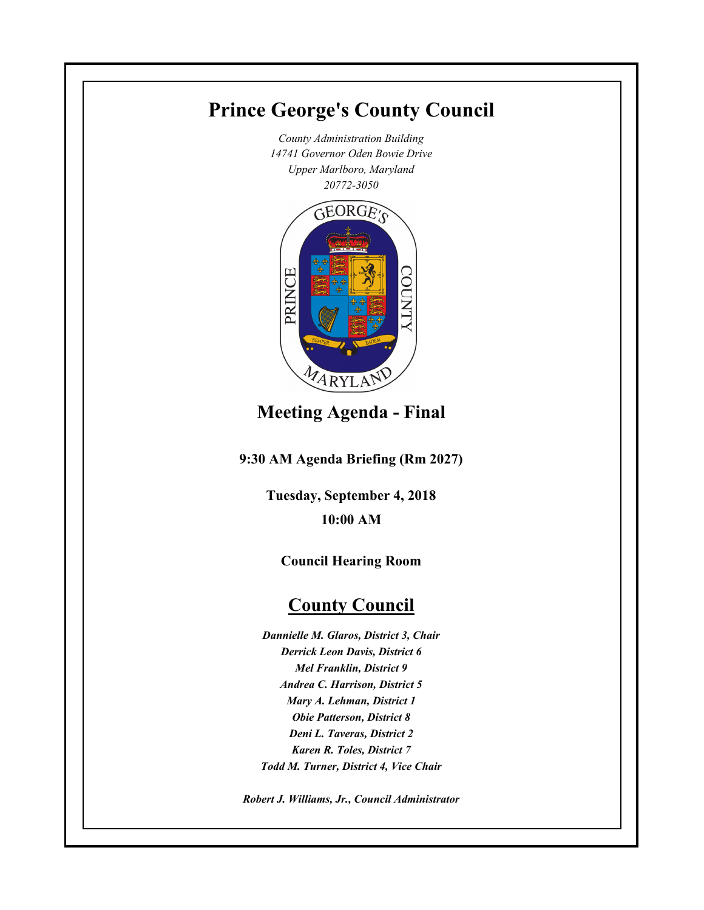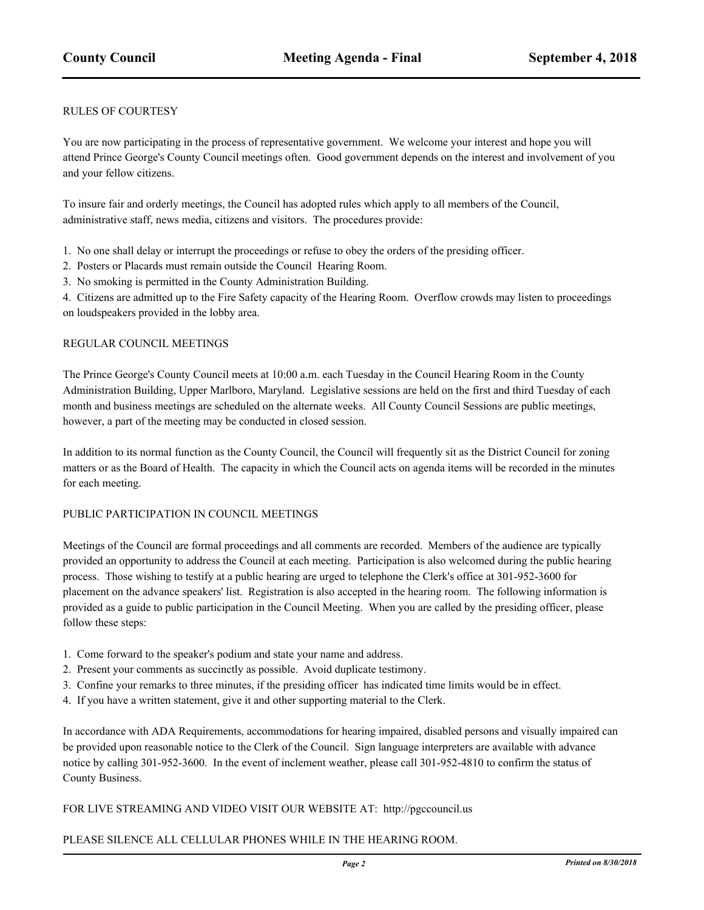#### RULES OF COURTESY

You are now participating in the process of representative government. We welcome your interest and hope you will attend Prince George's County Council meetings often. Good government depends on the interest and involvement of you and your fellow citizens.

To insure fair and orderly meetings, the Council has adopted rules which apply to all members of the Council, administrative staff, news media, citizens and visitors. The procedures provide:

- 1. No one shall delay or interrupt the proceedings or refuse to obey the orders of the presiding officer.
- 2. Posters or Placards must remain outside the Council Hearing Room.
- 3. No smoking is permitted in the County Administration Building.

4. Citizens are admitted up to the Fire Safety capacity of the Hearing Room. Overflow crowds may listen to proceedings on loudspeakers provided in the lobby area.

#### REGULAR COUNCIL MEETINGS

The Prince George's County Council meets at 10:00 a.m. each Tuesday in the Council Hearing Room in the County Administration Building, Upper Marlboro, Maryland. Legislative sessions are held on the first and third Tuesday of each month and business meetings are scheduled on the alternate weeks. All County Council Sessions are public meetings, however, a part of the meeting may be conducted in closed session.

In addition to its normal function as the County Council, the Council will frequently sit as the District Council for zoning matters or as the Board of Health. The capacity in which the Council acts on agenda items will be recorded in the minutes for each meeting.

#### PUBLIC PARTICIPATION IN COUNCIL MEETINGS

Meetings of the Council are formal proceedings and all comments are recorded. Members of the audience are typically provided an opportunity to address the Council at each meeting. Participation is also welcomed during the public hearing process. Those wishing to testify at a public hearing are urged to telephone the Clerk's office at 301-952-3600 for placement on the advance speakers' list. Registration is also accepted in the hearing room. The following information is provided as a guide to public participation in the Council Meeting. When you are called by the presiding officer, please follow these steps:

- 1. Come forward to the speaker's podium and state your name and address.
- 2. Present your comments as succinctly as possible. Avoid duplicate testimony.
- 3. Confine your remarks to three minutes, if the presiding officer has indicated time limits would be in effect.
- 4. If you have a written statement, give it and other supporting material to the Clerk.

In accordance with ADA Requirements, accommodations for hearing impaired, disabled persons and visually impaired can be provided upon reasonable notice to the Clerk of the Council. Sign language interpreters are available with advance notice by calling 301-952-3600. In the event of inclement weather, please call 301-952-4810 to confirm the status of County Business.

#### FOR LIVE STREAMING AND VIDEO VISIT OUR WEBSITE AT: http://pgccouncil.us

#### PLEASE SILENCE ALL CELLULAR PHONES WHILE IN THE HEARING ROOM.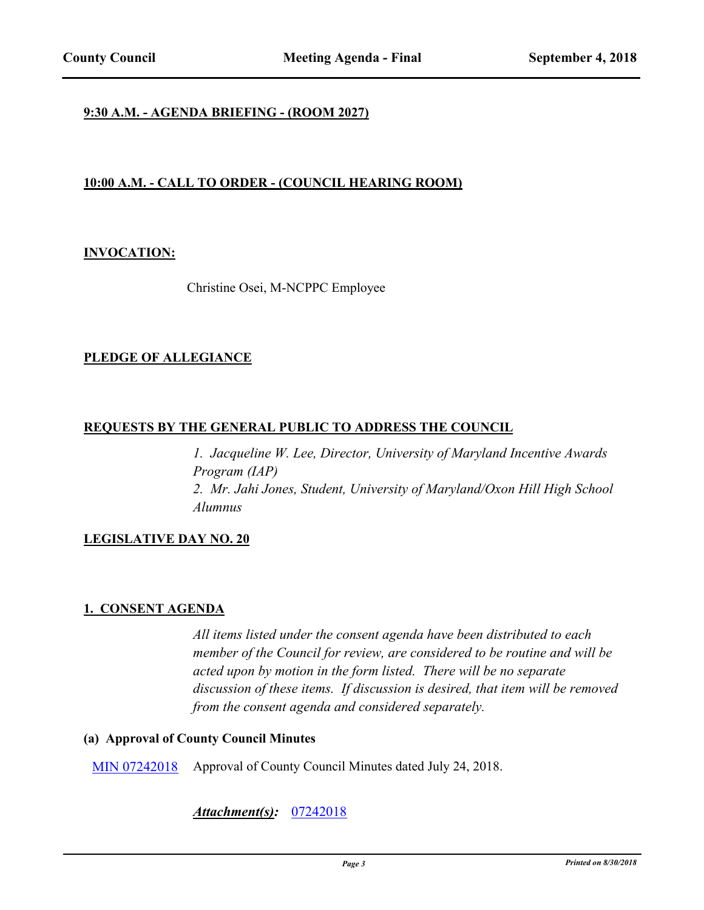## **9:30 A.M. - AGENDA BRIEFING - (ROOM 2027)**

# **10:00 A.M. - CALL TO ORDER - (COUNCIL HEARING ROOM)**

## **INVOCATION:**

Christine Osei, M-NCPPC Employee

## **PLEDGE OF ALLEGIANCE**

## **REQUESTS BY THE GENERAL PUBLIC TO ADDRESS THE COUNCIL**

*1. Jacqueline W. Lee, Director, University of Maryland Incentive Awards Program (IAP) 2. Mr. Jahi Jones, Student, University of Maryland/Oxon Hill High School Alumnus*

## **LEGISLATIVE DAY NO. 20**

## **1. CONSENT AGENDA**

*All items listed under the consent agenda have been distributed to each member of the Council for review, are considered to be routine and will be acted upon by motion in the form listed. There will be no separate discussion of these items. If discussion is desired, that item will be removed from the consent agenda and considered separately.*

## **(a) Approval of County Council Minutes**

[MIN 07242018](http://princegeorgescountymd.legistar.com/gateway.aspx?m=l&id=/matter.aspx?key=10348) Approval of County Council Minutes dated July 24, 2018.

## *Attachment(s):* [07242018](http://princegeorgescountymd.legistar.com/gateway.aspx?M=F&ID=db8dd4d4-11ac-49de-aede-864a0c953a99.pdf)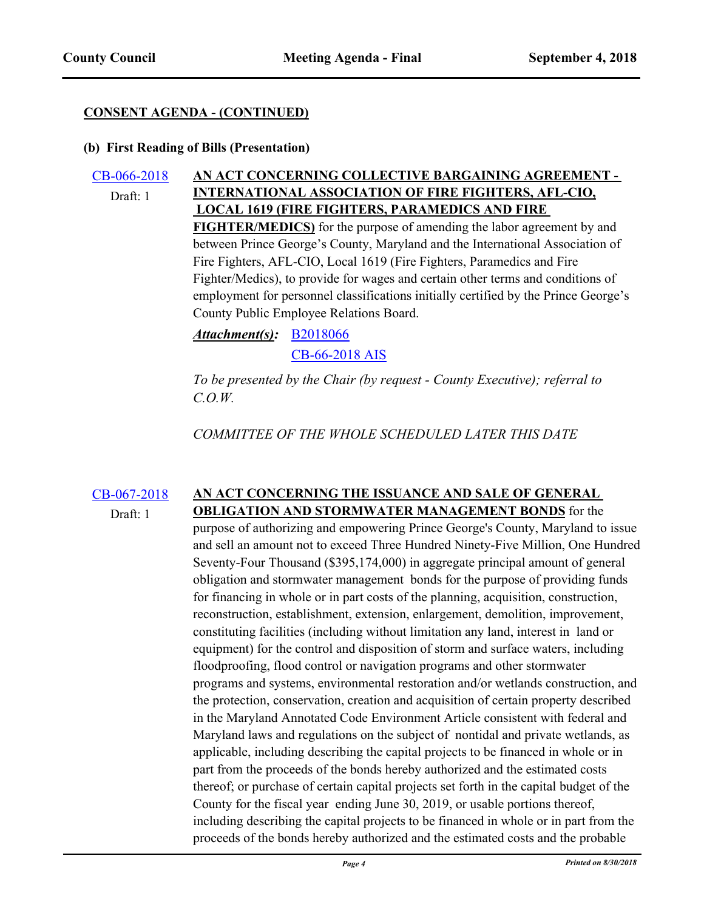## **(b) First Reading of Bills (Presentation)**

#### [CB-066-2018](http://princegeorgescountymd.legistar.com/gateway.aspx?m=l&id=/matter.aspx?key=10350) **AN ACT CONCERNING COLLECTIVE BARGAINING AGREEMENT - INTERNATIONAL ASSOCIATION OF FIRE FIGHTERS, AFL-CIO, LOCAL 1619 (FIRE FIGHTERS, PARAMEDICS AND FIRE**  Draft: 1

**FIGHTER/MEDICS)** for the purpose of amending the labor agreement by and between Prince George's County, Maryland and the International Association of Fire Fighters, AFL-CIO, Local 1619 (Fire Fighters, Paramedics and Fire Fighter/Medics), to provide for wages and certain other terms and conditions of employment for personnel classifications initially certified by the Prince George's County Public Employee Relations Board.

*Attachment(s):* **[B2018066](http://princegeorgescountymd.legistar.com/gateway.aspx?M=F&ID=ca2292d8-9b6e-4403-8aea-d0353d9953bb.doc)** 

[CB-66-2018 AIS](http://princegeorgescountymd.legistar.com/gateway.aspx?M=F&ID=44b6f670-e847-4984-aad4-c5fdc8da3cca.pdf)

*To be presented by the Chair (by request - County Executive); referral to C.O.W.*

*COMMITTEE OF THE WHOLE SCHEDULED LATER THIS DATE*

#### [CB-067-2018](http://princegeorgescountymd.legistar.com/gateway.aspx?m=l&id=/matter.aspx?key=10374) **AN ACT CONCERNING THE ISSUANCE AND SALE OF GENERAL OBLIGATION AND STORMWATER MANAGEMENT BONDS** for the Draft: 1

purpose of authorizing and empowering Prince George's County, Maryland to issue and sell an amount not to exceed Three Hundred Ninety-Five Million, One Hundred Seventy-Four Thousand (\$395,174,000) in aggregate principal amount of general obligation and stormwater management bonds for the purpose of providing funds for financing in whole or in part costs of the planning, acquisition, construction, reconstruction, establishment, extension, enlargement, demolition, improvement, constituting facilities (including without limitation any land, interest in land or equipment) for the control and disposition of storm and surface waters, including floodproofing, flood control or navigation programs and other stormwater programs and systems, environmental restoration and/or wetlands construction, and the protection, conservation, creation and acquisition of certain property described in the Maryland Annotated Code Environment Article consistent with federal and Maryland laws and regulations on the subject of nontidal and private wetlands, as applicable, including describing the capital projects to be financed in whole or in part from the proceeds of the bonds hereby authorized and the estimated costs thereof; or purchase of certain capital projects set forth in the capital budget of the County for the fiscal year ending June 30, 2019, or usable portions thereof, including describing the capital projects to be financed in whole or in part from the proceeds of the bonds hereby authorized and the estimated costs and the probable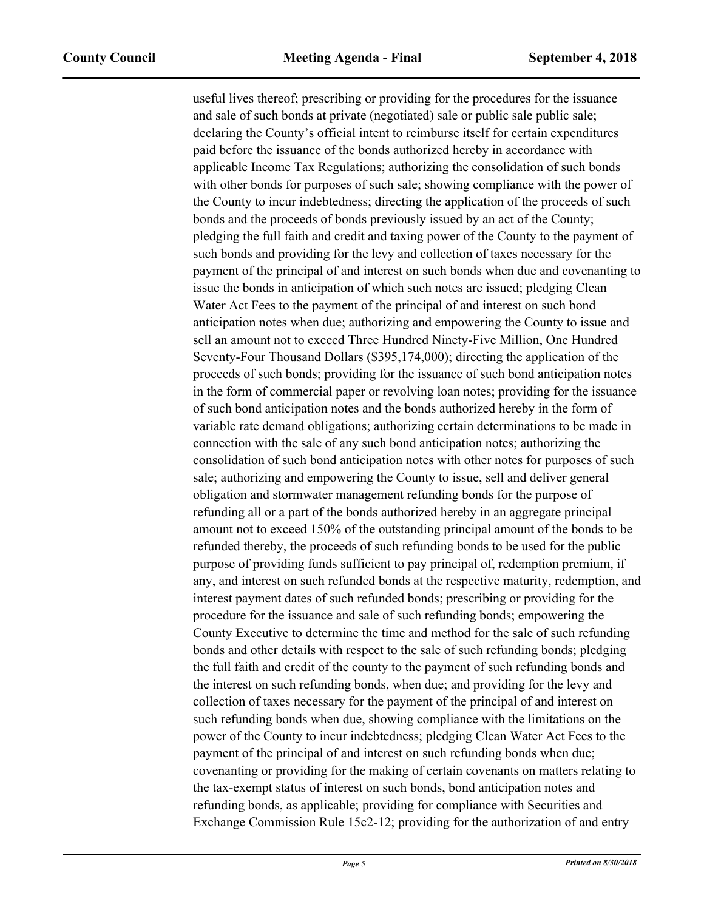useful lives thereof; prescribing or providing for the procedures for the issuance and sale of such bonds at private (negotiated) sale or public sale public sale; declaring the County's official intent to reimburse itself for certain expenditures paid before the issuance of the bonds authorized hereby in accordance with applicable Income Tax Regulations; authorizing the consolidation of such bonds with other bonds for purposes of such sale; showing compliance with the power of the County to incur indebtedness; directing the application of the proceeds of such bonds and the proceeds of bonds previously issued by an act of the County; pledging the full faith and credit and taxing power of the County to the payment of such bonds and providing for the levy and collection of taxes necessary for the payment of the principal of and interest on such bonds when due and covenanting to issue the bonds in anticipation of which such notes are issued; pledging Clean Water Act Fees to the payment of the principal of and interest on such bond anticipation notes when due; authorizing and empowering the County to issue and sell an amount not to exceed Three Hundred Ninety-Five Million, One Hundred Seventy-Four Thousand Dollars (\$395,174,000); directing the application of the proceeds of such bonds; providing for the issuance of such bond anticipation notes in the form of commercial paper or revolving loan notes; providing for the issuance of such bond anticipation notes and the bonds authorized hereby in the form of variable rate demand obligations; authorizing certain determinations to be made in connection with the sale of any such bond anticipation notes; authorizing the consolidation of such bond anticipation notes with other notes for purposes of such sale; authorizing and empowering the County to issue, sell and deliver general obligation and stormwater management refunding bonds for the purpose of refunding all or a part of the bonds authorized hereby in an aggregate principal amount not to exceed 150% of the outstanding principal amount of the bonds to be refunded thereby, the proceeds of such refunding bonds to be used for the public purpose of providing funds sufficient to pay principal of, redemption premium, if any, and interest on such refunded bonds at the respective maturity, redemption, and interest payment dates of such refunded bonds; prescribing or providing for the procedure for the issuance and sale of such refunding bonds; empowering the County Executive to determine the time and method for the sale of such refunding bonds and other details with respect to the sale of such refunding bonds; pledging the full faith and credit of the county to the payment of such refunding bonds and the interest on such refunding bonds, when due; and providing for the levy and collection of taxes necessary for the payment of the principal of and interest on such refunding bonds when due, showing compliance with the limitations on the power of the County to incur indebtedness; pledging Clean Water Act Fees to the payment of the principal of and interest on such refunding bonds when due; covenanting or providing for the making of certain covenants on matters relating to the tax-exempt status of interest on such bonds, bond anticipation notes and refunding bonds, as applicable; providing for compliance with Securities and Exchange Commission Rule 15c2-12; providing for the authorization of and entry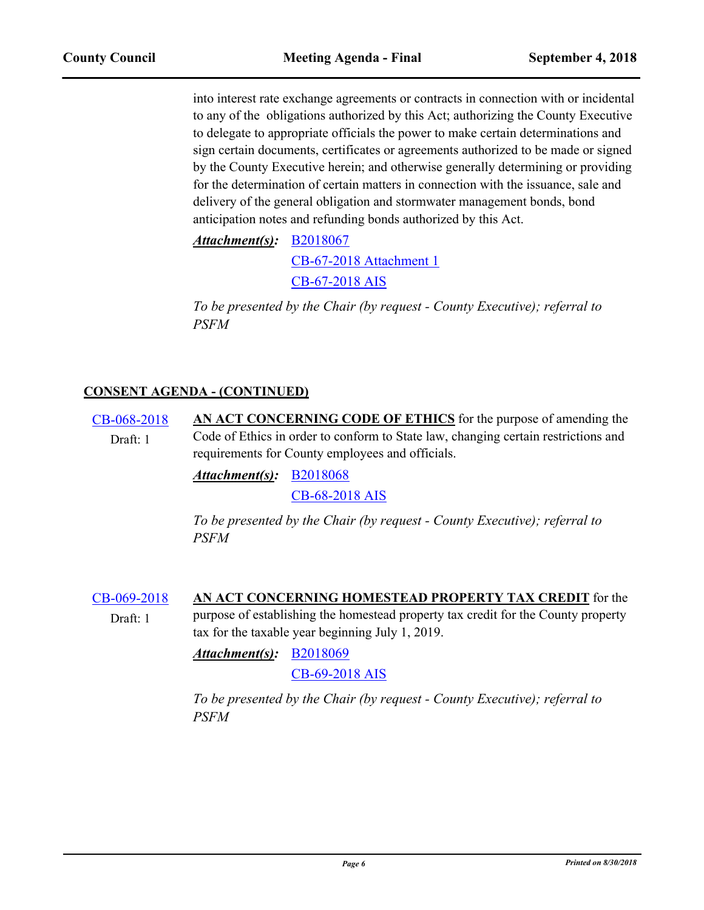into interest rate exchange agreements or contracts in connection with or incidental to any of the obligations authorized by this Act; authorizing the County Executive to delegate to appropriate officials the power to make certain determinations and sign certain documents, certificates or agreements authorized to be made or signed by the County Executive herein; and otherwise generally determining or providing for the determination of certain matters in connection with the issuance, sale and delivery of the general obligation and stormwater management bonds, bond anticipation notes and refunding bonds authorized by this Act.

*Attachment(s):* **[B2018067](http://princegeorgescountymd.legistar.com/gateway.aspx?M=F&ID=4f79a490-db4f-48e3-9168-d43ee6c63cb4.doc)** 

[CB-67-2018 Attachment 1](http://princegeorgescountymd.legistar.com/gateway.aspx?M=F&ID=b854ea44-fe3d-49cf-9c94-1aacbe9736ea.pdf)

[CB-67-2018 AIS](http://princegeorgescountymd.legistar.com/gateway.aspx?M=F&ID=bf1b4bce-cb2c-45f6-8c16-e00bd37ef276.pdf)

*To be presented by the Chair (by request - County Executive); referral to PSFM*

# **CONSENT AGENDA - (CONTINUED)**

[CB-068-2018](http://princegeorgescountymd.legistar.com/gateway.aspx?m=l&id=/matter.aspx?key=10379) **AN ACT CONCERNING CODE OF ETHICS** for the purpose of amending the Code of Ethics in order to conform to State law, changing certain restrictions and requirements for County employees and officials. Draft: 1

[B2018068](http://princegeorgescountymd.legistar.com/gateway.aspx?M=F&ID=02985813-0192-4117-892c-23faea6df4bb.doc) *Attachment(s):*

[CB-68-2018 AIS](http://princegeorgescountymd.legistar.com/gateway.aspx?M=F&ID=462da0b2-abf0-4f91-9f8c-ef57551e1433.pdf)

*To be presented by the Chair (by request - County Executive); referral to PSFM*

[CB-069-2018](http://princegeorgescountymd.legistar.com/gateway.aspx?m=l&id=/matter.aspx?key=10380) **AN ACT CONCERNING HOMESTEAD PROPERTY TAX CREDIT** for the purpose of establishing the homestead property tax credit for the County property tax for the taxable year beginning July 1, 2019. Draft: 1

[B2018069](http://princegeorgescountymd.legistar.com/gateway.aspx?M=F&ID=b09000a7-40fd-4af5-9a42-4c54a295ce38.doc) *Attachment(s):*

[CB-69-2018 AIS](http://princegeorgescountymd.legistar.com/gateway.aspx?M=F&ID=49319c70-3a25-4265-8c8b-ecd73ef317a8.pdf)

*To be presented by the Chair (by request - County Executive); referral to PSFM*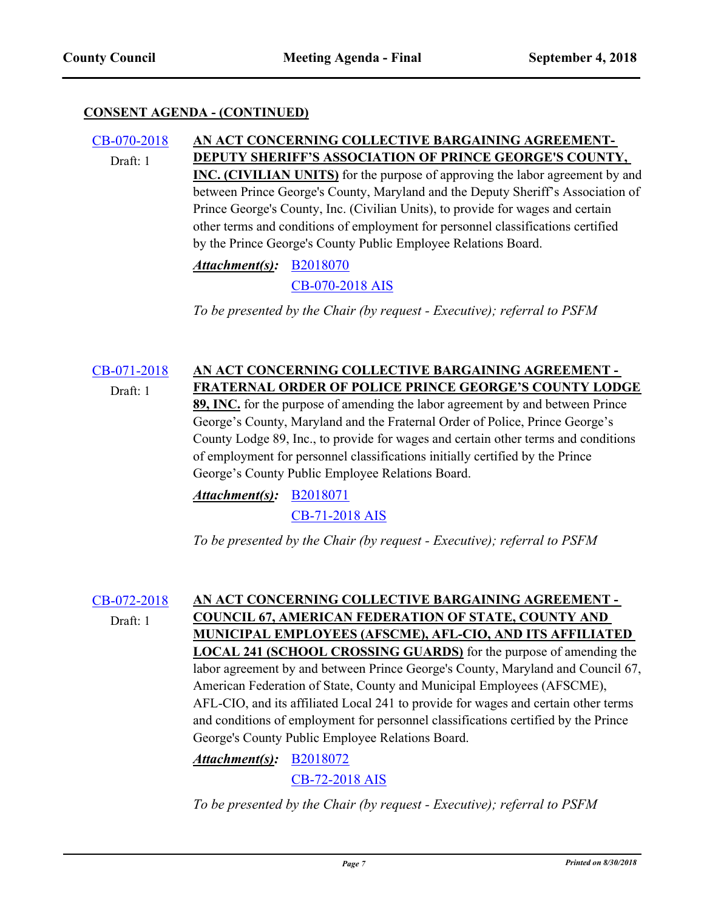#### [CB-070-2018](http://princegeorgescountymd.legistar.com/gateway.aspx?m=l&id=/matter.aspx?key=10381) **AN ACT CONCERNING COLLECTIVE BARGAINING AGREEMENT-DEPUTY SHERIFF'S ASSOCIATION OF PRINCE GEORGE'S COUNTY, INC. (CIVILIAN UNITS)** for the purpose of approving the labor agreement by and between Prince George's County, Maryland and the Deputy Sheriff's Association of Prince George's County, Inc. (Civilian Units), to provide for wages and certain Draft: 1

other terms and conditions of employment for personnel classifications certified by the Prince George's County Public Employee Relations Board.

*Attachment(s):* [B2018070](http://princegeorgescountymd.legistar.com/gateway.aspx?M=F&ID=7e0563a1-9531-477a-9c1d-4353f0a42c60.docx) [CB-070-2018 AIS](http://princegeorgescountymd.legistar.com/gateway.aspx?M=F&ID=610ecb51-cf8a-419e-adef-042ee7d78b06.pdf)

*To be presented by the Chair (by request - Executive); referral to PSFM*

#### [CB-071-2018](http://princegeorgescountymd.legistar.com/gateway.aspx?m=l&id=/matter.aspx?key=10383) **AN ACT CONCERNING COLLECTIVE BARGAINING AGREEMENT - FRATERNAL ORDER OF POLICE PRINCE GEORGE'S COUNTY LODGE**  Draft: 1

**89, INC.** for the purpose of amending the labor agreement by and between Prince George's County, Maryland and the Fraternal Order of Police, Prince George's County Lodge 89, Inc., to provide for wages and certain other terms and conditions of employment for personnel classifications initially certified by the Prince George's County Public Employee Relations Board.

*Attachment(s):* **[B2018071](http://princegeorgescountymd.legistar.com/gateway.aspx?M=F&ID=252f3041-dc9a-4b32-95c8-5c168a1edbaf.docx)** 

[CB-71-2018 AIS](http://princegeorgescountymd.legistar.com/gateway.aspx?M=F&ID=e9beb67c-5042-42bf-a23b-641708449f15.pdf)

*To be presented by the Chair (by request - Executive); referral to PSFM*

Draft: 1

# [CB-072-2018](http://princegeorgescountymd.legistar.com/gateway.aspx?m=l&id=/matter.aspx?key=10386) **AN ACT CONCERNING COLLECTIVE BARGAINING AGREEMENT - COUNCIL 67, AMERICAN FEDERATION OF STATE, COUNTY AND MUNICIPAL EMPLOYEES (AFSCME), AFL-CIO, AND ITS AFFILIATED LOCAL 241 (SCHOOL CROSSING GUARDS)** for the purpose of amending the labor agreement by and between Prince George's County, Maryland and Council 67, American Federation of State, County and Municipal Employees (AFSCME), AFL-CIO, and its affiliated Local 241 to provide for wages and certain other terms and conditions of employment for personnel classifications certified by the Prince George's County Public Employee Relations Board.

[B2018072](http://princegeorgescountymd.legistar.com/gateway.aspx?M=F&ID=69c202e8-afa9-44a9-b501-31d2d93bb5d3.doc) *Attachment(s):*

[CB-72-2018 AIS](http://princegeorgescountymd.legistar.com/gateway.aspx?M=F&ID=2c7d2ef3-902c-425b-9bd6-5d6430101907.pdf)

*To be presented by the Chair (by request - Executive); referral to PSFM*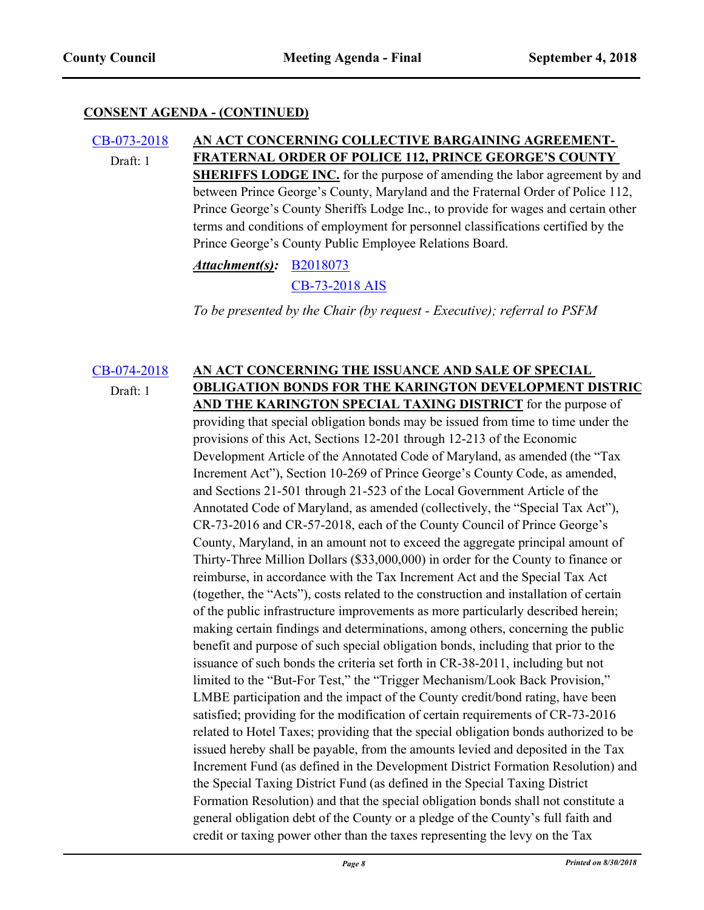#### [CB-073-2018](http://princegeorgescountymd.legistar.com/gateway.aspx?m=l&id=/matter.aspx?key=10388) **AN ACT CONCERNING COLLECTIVE BARGAINING AGREEMENT-FRATERNAL ORDER OF POLICE 112, PRINCE GEORGE'S COUNTY SHERIFFS LODGE INC.** for the purpose of amending the labor agreement by and between Prince George's County, Maryland and the Fraternal Order of Police 112, Prince George's County Sheriffs Lodge Inc., to provide for wages and certain other terms and conditions of employment for personnel classifications certified by the Prince George's County Public Employee Relations Board. Draft: 1

# *Attachment(s):* [B2018073](http://princegeorgescountymd.legistar.com/gateway.aspx?M=F&ID=2263c14b-e1fd-4730-832a-17af5156bf9a.doc) [CB-73-2018 AIS](http://princegeorgescountymd.legistar.com/gateway.aspx?M=F&ID=7d6a2975-ac57-44de-a4ad-aac0c1c88b92.pdf)

*To be presented by the Chair (by request - Executive); referral to PSFM*

## [CB-074-2018](http://princegeorgescountymd.legistar.com/gateway.aspx?m=l&id=/matter.aspx?key=10391) **AN ACT CONCERNING THE ISSUANCE AND SALE OF SPECIAL OBLIGATION BONDS FOR THE KARINGTON DEVELOPMENT DISTRIC AND THE KARINGTON SPECIAL TAXING DISTRICT** for the purpose of providing that special obligation bonds may be issued from time to time under the provisions of this Act, Sections 12-201 through 12-213 of the Economic Development Article of the Annotated Code of Maryland, as amended (the "Tax Increment Act"), Section 10-269 of Prince George's County Code, as amended, and Sections 21-501 through 21-523 of the Local Government Article of the Annotated Code of Maryland, as amended (collectively, the "Special Tax Act"), Draft: 1

CR-73-2016 and CR-57-2018, each of the County Council of Prince George's County, Maryland, in an amount not to exceed the aggregate principal amount of Thirty-Three Million Dollars (\$33,000,000) in order for the County to finance or reimburse, in accordance with the Tax Increment Act and the Special Tax Act (together, the "Acts"), costs related to the construction and installation of certain of the public infrastructure improvements as more particularly described herein; making certain findings and determinations, among others, concerning the public benefit and purpose of such special obligation bonds, including that prior to the issuance of such bonds the criteria set forth in CR-38-2011, including but not limited to the "But-For Test," the "Trigger Mechanism/Look Back Provision," LMBE participation and the impact of the County credit/bond rating, have been satisfied; providing for the modification of certain requirements of CR-73-2016 related to Hotel Taxes; providing that the special obligation bonds authorized to be issued hereby shall be payable, from the amounts levied and deposited in the Tax Increment Fund (as defined in the Development District Formation Resolution) and the Special Taxing District Fund (as defined in the Special Taxing District Formation Resolution) and that the special obligation bonds shall not constitute a general obligation debt of the County or a pledge of the County's full faith and credit or taxing power other than the taxes representing the levy on the Tax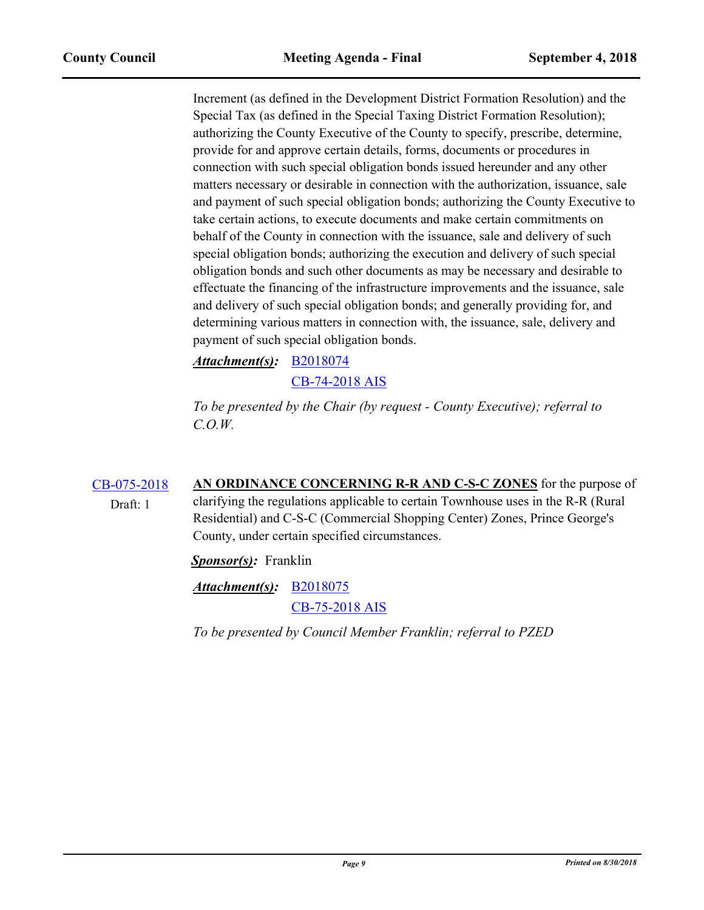Increment (as defined in the Development District Formation Resolution) and the Special Tax (as defined in the Special Taxing District Formation Resolution); authorizing the County Executive of the County to specify, prescribe, determine, provide for and approve certain details, forms, documents or procedures in connection with such special obligation bonds issued hereunder and any other matters necessary or desirable in connection with the authorization, issuance, sale and payment of such special obligation bonds; authorizing the County Executive to take certain actions, to execute documents and make certain commitments on behalf of the County in connection with the issuance, sale and delivery of such special obligation bonds; authorizing the execution and delivery of such special obligation bonds and such other documents as may be necessary and desirable to effectuate the financing of the infrastructure improvements and the issuance, sale and delivery of such special obligation bonds; and generally providing for, and determining various matters in connection with, the issuance, sale, delivery and payment of such special obligation bonds.

[B2018074](http://princegeorgescountymd.legistar.com/gateway.aspx?M=F&ID=b8b762aa-a52a-43d3-8779-547fc2b6153c.docx) *Attachment(s):*

[CB-74-2018 AIS](http://princegeorgescountymd.legistar.com/gateway.aspx?M=F&ID=cdbf4252-738a-4d46-9a3e-903b1b90c867.pdf)

*To be presented by the Chair (by request - County Executive); referral to C.O.W.*

[CB-075-2018](http://princegeorgescountymd.legistar.com/gateway.aspx?m=l&id=/matter.aspx?key=10346) **AN ORDINANCE CONCERNING R-R AND C-S-C ZONES** for the purpose of clarifying the regulations applicable to certain Townhouse uses in the R-R (Rural Residential) and C-S-C (Commercial Shopping Center) Zones, Prince George's County, under certain specified circumstances. Draft: 1

*Sponsor(s):* Franklin

*Attachment(s):* [B2018075](http://princegeorgescountymd.legistar.com/gateway.aspx?M=F&ID=4a1a9a1b-d622-4b6f-a052-19c37c263881.doc) [CB-75-2018 AIS](http://princegeorgescountymd.legistar.com/gateway.aspx?M=F&ID=ceab678c-3a4c-4ae8-b960-191bbd814d4a.pdf)

*To be presented by Council Member Franklin; referral to PZED*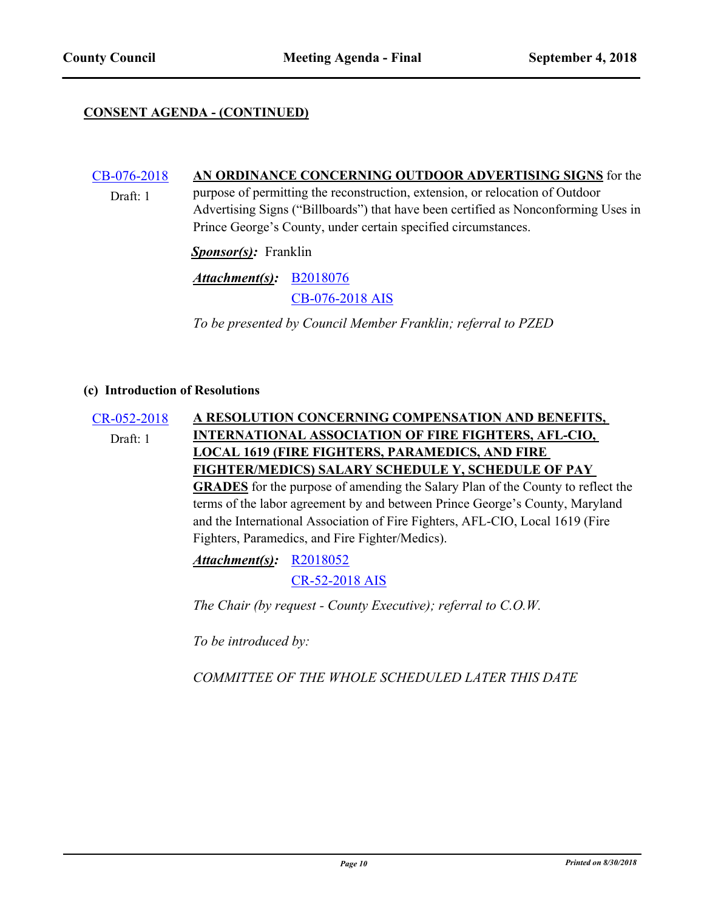Draft: 1

## **CONSENT AGENDA - (CONTINUED)**

# [CB-076-2018](http://princegeorgescountymd.legistar.com/gateway.aspx?m=l&id=/matter.aspx?key=10347) **AN ORDINANCE CONCERNING OUTDOOR ADVERTISING SIGNS** for the

purpose of permitting the reconstruction, extension, or relocation of Outdoor Advertising Signs ("Billboards") that have been certified as Nonconforming Uses in Prince George's County, under certain specified circumstances.

*Sponsor(s):* Franklin

[B2018076](http://princegeorgescountymd.legistar.com/gateway.aspx?M=F&ID=4a33c646-d024-447f-a332-1b52c12153d2.doc) *Attachment(s):*

[CB-076-2018 AIS](http://princegeorgescountymd.legistar.com/gateway.aspx?M=F&ID=60d39311-58d5-443a-91b9-ef5f9adee4f7.pdf)

*To be presented by Council Member Franklin; referral to PZED*

#### **(c) Introduction of Resolutions**

[CR-052-2018](http://princegeorgescountymd.legistar.com/gateway.aspx?m=l&id=/matter.aspx?key=10351) **A RESOLUTION CONCERNING COMPENSATION AND BENEFITS, INTERNATIONAL ASSOCIATION OF FIRE FIGHTERS, AFL-CIO, LOCAL 1619 (FIRE FIGHTERS, PARAMEDICS, AND FIRE FIGHTER/MEDICS) SALARY SCHEDULE Y, SCHEDULE OF PAY GRADES** for the purpose of amending the Salary Plan of the County to reflect the terms of the labor agreement by and between Prince George's County, Maryland and the International Association of Fire Fighters, AFL-CIO, Local 1619 (Fire Fighters, Paramedics, and Fire Fighter/Medics). Draft: 1

> *Attachment(s):* [R2018052](http://princegeorgescountymd.legistar.com/gateway.aspx?M=F&ID=f82f9c36-1a4e-48d6-8c0e-7cb3bdd0b97f.doc) [CR-52-2018 AIS](http://princegeorgescountymd.legistar.com/gateway.aspx?M=F&ID=b1c32b1b-e9f3-40b1-90e5-e0ca141172dd.pdf)

*The Chair (by request - County Executive); referral to C.O.W.*

*To be introduced by:*

*COMMITTEE OF THE WHOLE SCHEDULED LATER THIS DATE*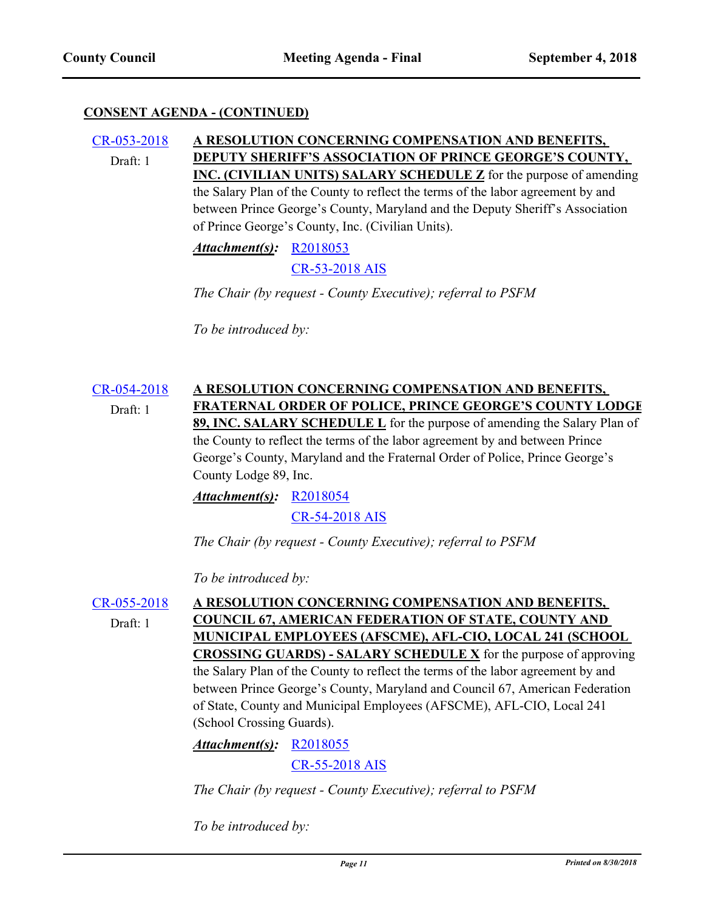#### [CR-053-2018](http://princegeorgescountymd.legistar.com/gateway.aspx?m=l&id=/matter.aspx?key=10382) **A RESOLUTION CONCERNING COMPENSATION AND BENEFITS, DEPUTY SHERIFF'S ASSOCIATION OF PRINCE GEORGE'S COUNTY, INC. (CIVILIAN UNITS) SALARY SCHEDULE Z** for the purpose of amending the Salary Plan of the County to reflect the terms of the labor agreement by and between Prince George's County, Maryland and the Deputy Sheriff's Association of Prince George's County, Inc. (Civilian Units). Draft: 1

*Attachment(s):* [R2018053](http://princegeorgescountymd.legistar.com/gateway.aspx?M=F&ID=7b1e6761-1562-4112-a910-08e113313b97.doc)

[CR-53-2018 AIS](http://princegeorgescountymd.legistar.com/gateway.aspx?M=F&ID=3521d351-8bdd-4ce9-ae88-b7c6519d2181.pdf)

*The Chair (by request - County Executive); referral to PSFM*

*To be introduced by:*

## [CR-054-2018](http://princegeorgescountymd.legistar.com/gateway.aspx?m=l&id=/matter.aspx?key=10384) **A RESOLUTION CONCERNING COMPENSATION AND BENEFITS, FRATERNAL ORDER OF POLICE, PRINCE GEORGE'S COUNTY LODGE 89, INC. SALARY SCHEDULE L** for the purpose of amending the Salary Plan of the County to reflect the terms of the labor agreement by and between Prince George's County, Maryland and the Fraternal Order of Police, Prince George's County Lodge 89, Inc. Draft: 1

*Attachment(s):* [R2018054](http://princegeorgescountymd.legistar.com/gateway.aspx?M=F&ID=449cb487-e1c3-4f01-956d-2d04ea39ff68.docx) [CR-54-2018 AIS](http://princegeorgescountymd.legistar.com/gateway.aspx?M=F&ID=f893a81e-f789-4bd2-81ba-78a7104bcea6.pdf)

*The Chair (by request - County Executive); referral to PSFM*

*To be introduced by:*

## [CR-055-2018](http://princegeorgescountymd.legistar.com/gateway.aspx?m=l&id=/matter.aspx?key=10387) **A RESOLUTION CONCERNING COMPENSATION AND BENEFITS, COUNCIL 67, AMERICAN FEDERATION OF STATE, COUNTY AND MUNICIPAL EMPLOYEES (AFSCME), AFL-CIO, LOCAL 241 (SCHOOL CROSSING GUARDS) - SALARY SCHEDULE X** for the purpose of approving the Salary Plan of the County to reflect the terms of the labor agreement by and between Prince George's County, Maryland and Council 67, American Federation of State, County and Municipal Employees (AFSCME), AFL-CIO, Local 241 (School Crossing Guards). Draft: 1

# *Attachment(s):* [R2018055](http://princegeorgescountymd.legistar.com/gateway.aspx?M=F&ID=cabe26ee-cbcb-41b5-97fb-8c1869ffa7ea.doc) [CR-55-2018 AIS](http://princegeorgescountymd.legistar.com/gateway.aspx?M=F&ID=94ae8cfd-6b33-4a07-bb9c-98f6f7185d2c.pdf)

*The Chair (by request - County Executive); referral to PSFM*

*To be introduced by:*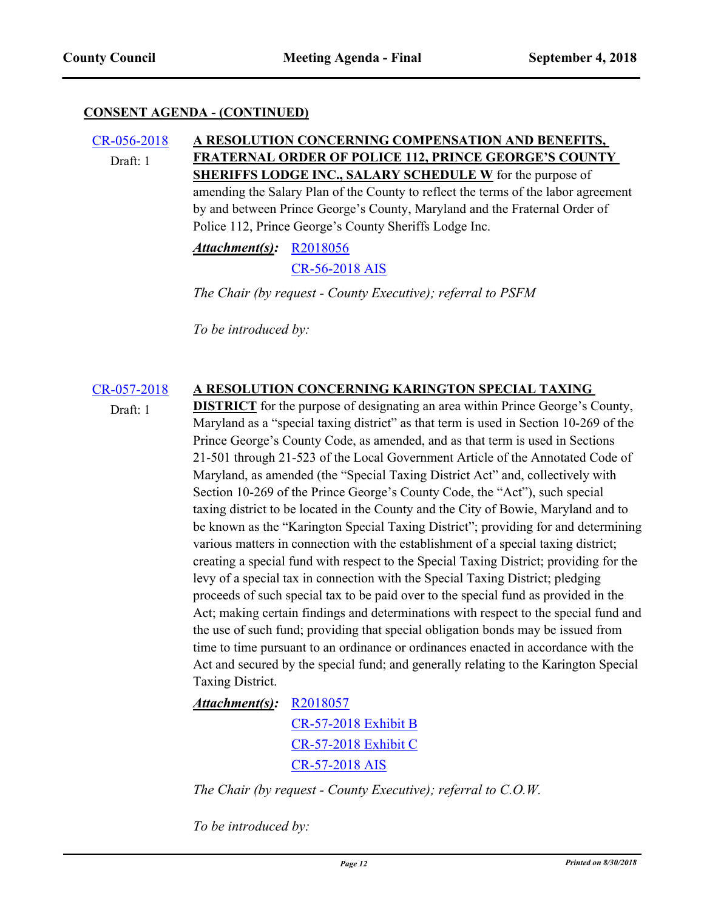### [CR-056-2018](http://princegeorgescountymd.legistar.com/gateway.aspx?m=l&id=/matter.aspx?key=10389) **A RESOLUTION CONCERNING COMPENSATION AND BENEFITS, FRATERNAL ORDER OF POLICE 112, PRINCE GEORGE'S COUNTY SHERIFFS LODGE INC., SALARY SCHEDULE W** for the purpose of amending the Salary Plan of the County to reflect the terms of the labor agreement by and between Prince George's County, Maryland and the Fraternal Order of Police 112, Prince George's County Sheriffs Lodge Inc. Draft: 1

*Attachment(s):* [R2018056](http://princegeorgescountymd.legistar.com/gateway.aspx?M=F&ID=cdba2484-0ae3-49a3-b0c0-4def2ec96db1.doc)

[CR-56-2018 AIS](http://princegeorgescountymd.legistar.com/gateway.aspx?M=F&ID=b718eb6a-ccc5-4636-be00-5bf69b2c1539.pdf)

*The Chair (by request - County Executive); referral to PSFM*

*To be introduced by:*

## [CR-057-2018](http://princegeorgescountymd.legistar.com/gateway.aspx?m=l&id=/matter.aspx?key=10392) **A RESOLUTION CONCERNING KARINGTON SPECIAL TAXING**

Draft: 1

**DISTRICT** for the purpose of designating an area within Prince George's County, Maryland as a "special taxing district" as that term is used in Section 10-269 of the Prince George's County Code, as amended, and as that term is used in Sections 21-501 through 21-523 of the Local Government Article of the Annotated Code of Maryland, as amended (the "Special Taxing District Act" and, collectively with Section 10-269 of the Prince George's County Code, the "Act"), such special taxing district to be located in the County and the City of Bowie, Maryland and to be known as the "Karington Special Taxing District"; providing for and determining various matters in connection with the establishment of a special taxing district; creating a special fund with respect to the Special Taxing District; providing for the levy of a special tax in connection with the Special Taxing District; pledging proceeds of such special tax to be paid over to the special fund as provided in the Act; making certain findings and determinations with respect to the special fund and the use of such fund; providing that special obligation bonds may be issued from time to time pursuant to an ordinance or ordinances enacted in accordance with the Act and secured by the special fund; and generally relating to the Karington Special Taxing District.

# *Attachment(s):* [R2018057](http://princegeorgescountymd.legistar.com/gateway.aspx?M=F&ID=b668506f-0ab1-4a9d-8463-380c9773e99f.docx) [CR-57-2018 Exhibit B](http://princegeorgescountymd.legistar.com/gateway.aspx?M=F&ID=a5ead354-56c9-4048-92ee-9336158c61a3.pdf) [CR-57-2018 Exhibit C](http://princegeorgescountymd.legistar.com/gateway.aspx?M=F&ID=dc08f3cc-267a-4a5b-ba7b-228e360dcd05.docx) [CR-57-2018 AIS](http://princegeorgescountymd.legistar.com/gateway.aspx?M=F&ID=108d73b9-adaa-417f-b713-d980e8638411.pdf)

*The Chair (by request - County Executive); referral to C.O.W.*

*To be introduced by:*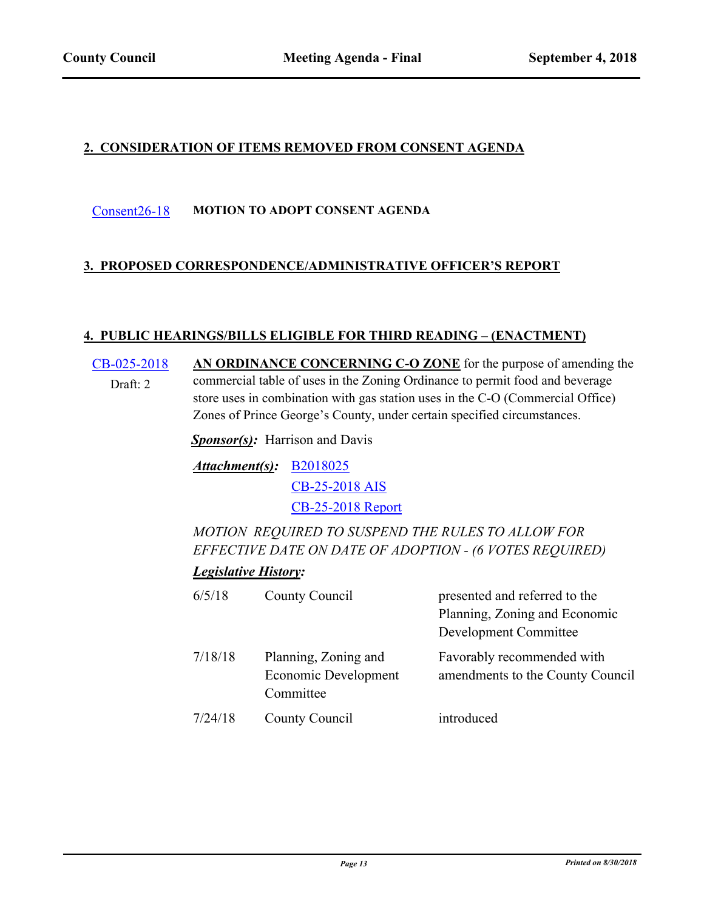# **2. CONSIDERATION OF ITEMS REMOVED FROM CONSENT AGENDA**

## [Consent26-18](http://princegeorgescountymd.legistar.com/gateway.aspx?m=l&id=/matter.aspx?key=10349) **MOTION TO ADOPT CONSENT AGENDA**

## **3. PROPOSED CORRESPONDENCE/ADMINISTRATIVE OFFICER'S REPORT**

## **4. PUBLIC HEARINGS/BILLS ELIGIBLE FOR THIRD READING – (ENACTMENT)**

[CB-025-2018](http://princegeorgescountymd.legistar.com/gateway.aspx?m=l&id=/matter.aspx?key=10204) **AN ORDINANCE CONCERNING C-O ZONE** for the purpose of amending the commercial table of uses in the Zoning Ordinance to permit food and beverage store uses in combination with gas station uses in the C-O (Commercial Office) Zones of Prince George's County, under certain specified circumstances. Draft: 2

*Sponsor(s)*: Harrison and Davis

[B2018025](http://princegeorgescountymd.legistar.com/gateway.aspx?M=F&ID=3ccebe46-bfe1-4c92-9a81-708108f8e968.doc) *Attachment(s):* [CB-25-2018 AIS](http://princegeorgescountymd.legistar.com/gateway.aspx?M=F&ID=6d5e2cd7-6a87-44f0-b00e-10f01093dbf7.pdf) [CB-25-2018 Report](http://princegeorgescountymd.legistar.com/gateway.aspx?M=F&ID=478a8433-08f7-47fc-a01c-3acf0d5b3e50.docx)

*MOTION REQUIRED TO SUSPEND THE RULES TO ALLOW FOR EFFECTIVE DATE ON DATE OF ADOPTION - (6 VOTES REQUIRED)*

## *Legislative History:*

| 6/5/18  | County Council                                            | presented and referred to the<br>Planning, Zoning and Economic<br>Development Committee |
|---------|-----------------------------------------------------------|-----------------------------------------------------------------------------------------|
| 7/18/18 | Planning, Zoning and<br>Economic Development<br>Committee | Favorably recommended with<br>amendments to the County Council                          |
| 7/24/18 | County Council                                            | introduced                                                                              |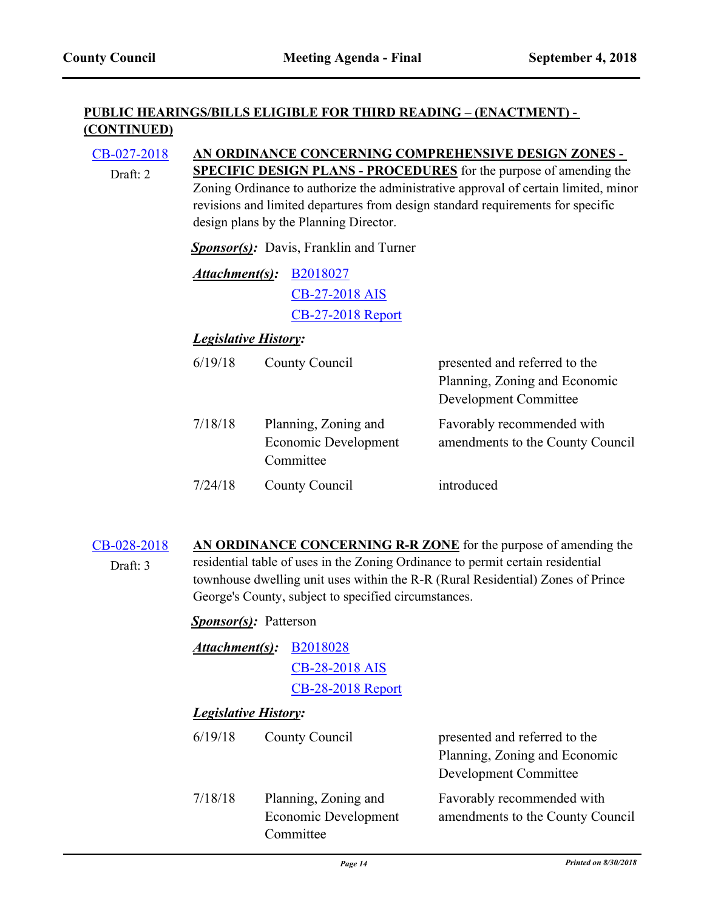Draft: 2

## **PUBLIC HEARINGS/BILLS ELIGIBLE FOR THIRD READING – (ENACTMENT) - (CONTINUED)**

# [CB-027-2018](http://princegeorgescountymd.legistar.com/gateway.aspx?m=l&id=/matter.aspx?key=10163) **AN ORDINANCE CONCERNING COMPREHENSIVE DESIGN ZONES -**

**SPECIFIC DESIGN PLANS - PROCEDURES** for the purpose of amending the Zoning Ordinance to authorize the administrative approval of certain limited, minor revisions and limited departures from design standard requirements for specific design plans by the Planning Director.

*Sponsor(s):* Davis, Franklin and Turner

*Attachment(s):* [B2018027](http://princegeorgescountymd.legistar.com/gateway.aspx?M=F&ID=12a74895-5b35-44c5-ac1d-576424e71d6c.doc) [CB-27-2018 AIS](http://princegeorgescountymd.legistar.com/gateway.aspx?M=F&ID=5fce4604-8b2a-4a79-be29-3d8923559e24.pdf) [CB-27-2018 Report](http://princegeorgescountymd.legistar.com/gateway.aspx?M=F&ID=16addc4d-53cc-46e5-ac15-c68cc3d787b2.doc)

## *Legislative History:*

| 6/19/18 | County Council                                            | presented and referred to the<br>Planning, Zoning and Economic<br>Development Committee |
|---------|-----------------------------------------------------------|-----------------------------------------------------------------------------------------|
| 7/18/18 | Planning, Zoning and<br>Economic Development<br>Committee | Favorably recommended with<br>amendments to the County Council                          |
| 7/24/18 | County Council                                            | introduced                                                                              |

#### [CB-028-2018](http://princegeorgescountymd.legistar.com/gateway.aspx?m=l&id=/matter.aspx?key=10205) **AN ORDINANCE CONCERNING R-R ZONE** for the purpose of amending the residential table of uses in the Zoning Ordinance to permit certain residential townhouse dwelling unit uses within the R-R (Rural Residential) Zones of Prince George's County, subject to specified circumstances. Draft: 3

## *Sponsor(s):* Patterson

| Attachment(s):              | <b>B2018028</b><br><b>CB-28-2018 AIS</b><br><b>CB-28-2018</b> Report |                                                                                         |
|-----------------------------|----------------------------------------------------------------------|-----------------------------------------------------------------------------------------|
| <b>Legislative History:</b> |                                                                      |                                                                                         |
| 6/19/18                     | County Council                                                       | presented and referred to the<br>Planning, Zoning and Economic<br>Development Committee |
| 7/18/18                     | Planning, Zoning and<br>Economic Development                         | Favorably recommended with<br>amendments to the County Council                          |

Committee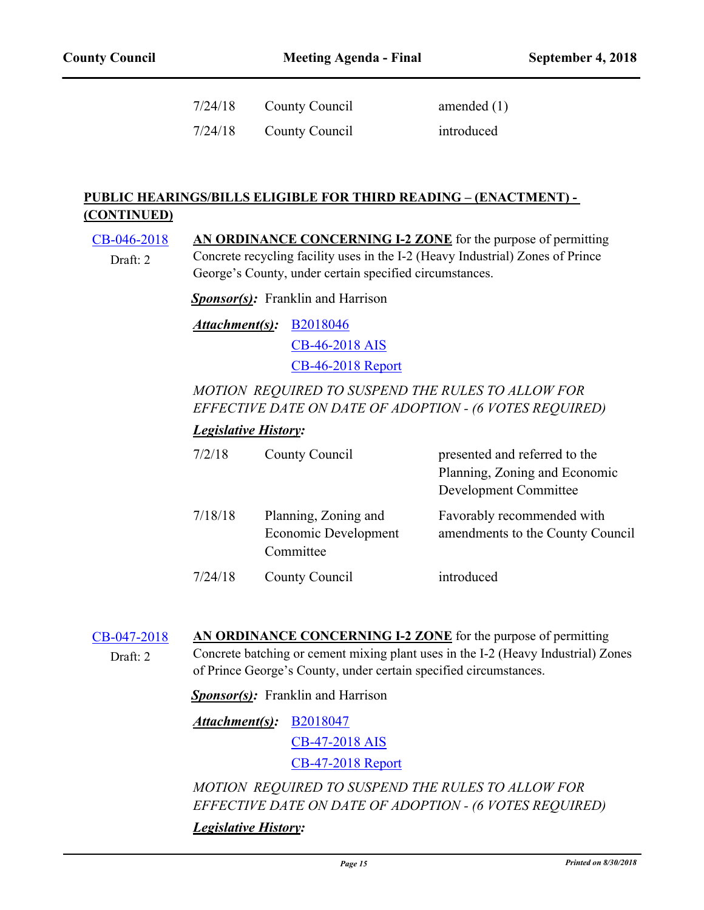| 7/24/18 | County Council | amended $(1)$ |
|---------|----------------|---------------|
| 7/24/18 | County Council | introduced    |

## **PUBLIC HEARINGS/BILLS ELIGIBLE FOR THIRD READING – (ENACTMENT) - (CONTINUED)**

[CB-046-2018](http://princegeorgescountymd.legistar.com/gateway.aspx?m=l&id=/matter.aspx?key=9954) **AN ORDINANCE CONCERNING I-2 ZONE** for the purpose of permitting Concrete recycling facility uses in the I-2 (Heavy Industrial) Zones of Prince George's County, under certain specified circumstances. Draft: 2

*Sponsor(s):* Franklin and Harrison

[B2018046](http://princegeorgescountymd.legistar.com/gateway.aspx?M=F&ID=58e8bff0-064a-4285-8685-ad4987a29d6a.doc) *Attachment(s):* [CB-46-2018 AIS](http://princegeorgescountymd.legistar.com/gateway.aspx?M=F&ID=8f5a45f1-d77e-47e3-bd4e-8e7c850ecb97.pdf) [CB-46-2018 Report](http://princegeorgescountymd.legistar.com/gateway.aspx?M=F&ID=585afc83-4a0d-4b0a-989b-c9dbb0441a0b.doc)

# *MOTION REQUIRED TO SUSPEND THE RULES TO ALLOW FOR EFFECTIVE DATE ON DATE OF ADOPTION - (6 VOTES REQUIRED)*

## *Legislative History:*

| 7/2/18  | County Council                                            | presented and referred to the<br>Planning, Zoning and Economic<br>Development Committee |
|---------|-----------------------------------------------------------|-----------------------------------------------------------------------------------------|
| 7/18/18 | Planning, Zoning and<br>Economic Development<br>Committee | Favorably recommended with<br>amendments to the County Council                          |
| 7/24/18 | County Council                                            | introduced                                                                              |

[CB-047-2018](http://princegeorgescountymd.legistar.com/gateway.aspx?m=l&id=/matter.aspx?key=9955) **AN ORDINANCE CONCERNING I-2 ZONE** for the purpose of permitting Concrete batching or cement mixing plant uses in the I-2 (Heavy Industrial) Zones of Prince George's County, under certain specified circumstances. Draft: 2

**Sponsor(s):** Franklin and Harrison

[B2018047](http://princegeorgescountymd.legistar.com/gateway.aspx?M=F&ID=a0d68fe0-9cbc-43ee-9370-17f6b97d0253.doc) *Attachment(s):*

[CB-47-2018 AIS](http://princegeorgescountymd.legistar.com/gateway.aspx?M=F&ID=99d10a8e-ca9b-4718-8a90-f01bedb9ccb8.pdf)

[CB-47-2018 Report](http://princegeorgescountymd.legistar.com/gateway.aspx?M=F&ID=ce85a5b1-6e9f-4f27-9635-f298a84f26dd.doc)

*MOTION REQUIRED TO SUSPEND THE RULES TO ALLOW FOR EFFECTIVE DATE ON DATE OF ADOPTION - (6 VOTES REQUIRED) Legislative History:*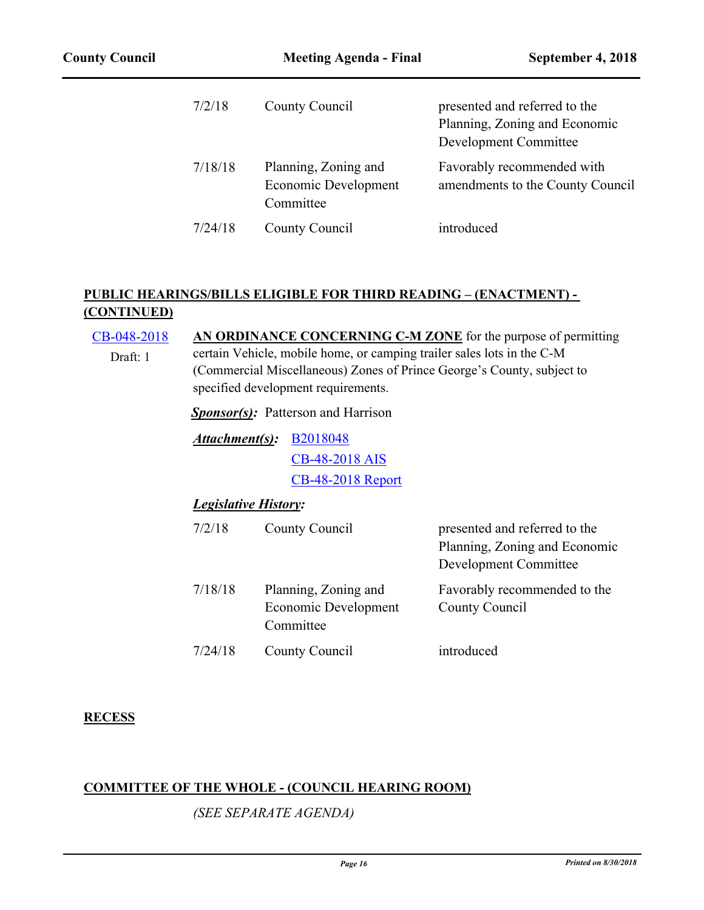| 7/2/18  | County Council                                            | presented and referred to the<br>Planning, Zoning and Economic<br>Development Committee |
|---------|-----------------------------------------------------------|-----------------------------------------------------------------------------------------|
| 7/18/18 | Planning, Zoning and<br>Economic Development<br>Committee | Favorably recommended with<br>amendments to the County Council                          |
| 7/24/18 | County Council                                            | introduced                                                                              |

# **PUBLIC HEARINGS/BILLS ELIGIBLE FOR THIRD READING – (ENACTMENT) - (CONTINUED)**

| CB-048-2018                                              | AN ORDINANCE CONCERNING C-M ZONE for the purpose of permitting                                                                                                                          |                                                           |                                                                                         |
|----------------------------------------------------------|-----------------------------------------------------------------------------------------------------------------------------------------------------------------------------------------|-----------------------------------------------------------|-----------------------------------------------------------------------------------------|
| Draft: 1                                                 | certain Vehicle, mobile home, or camping trailer sales lots in the C-M<br>(Commercial Miscellaneous) Zones of Prince George's County, subject to<br>specified development requirements. |                                                           |                                                                                         |
|                                                          | <b>Sponsor(s):</b> Patterson and Harrison                                                                                                                                               |                                                           |                                                                                         |
| Attachment(s):<br>B <sub>2018048</sub><br>CB-48-2018 AIS |                                                                                                                                                                                         |                                                           |                                                                                         |
|                                                          |                                                                                                                                                                                         | <b>CB-48-2018 Report</b>                                  |                                                                                         |
|                                                          | <b>Legislative History:</b>                                                                                                                                                             |                                                           |                                                                                         |
|                                                          | 7/2/18                                                                                                                                                                                  | County Council                                            | presented and referred to the<br>Planning, Zoning and Economic<br>Development Committee |
|                                                          | 7/18/18                                                                                                                                                                                 | Planning, Zoning and<br>Economic Development<br>Committee | Favorably recommended to the<br>County Council                                          |
|                                                          | 7/24/18                                                                                                                                                                                 | County Council                                            | introduced                                                                              |

# **RECESS**

# **COMMITTEE OF THE WHOLE - (COUNCIL HEARING ROOM)**

*(SEE SEPARATE AGENDA)*